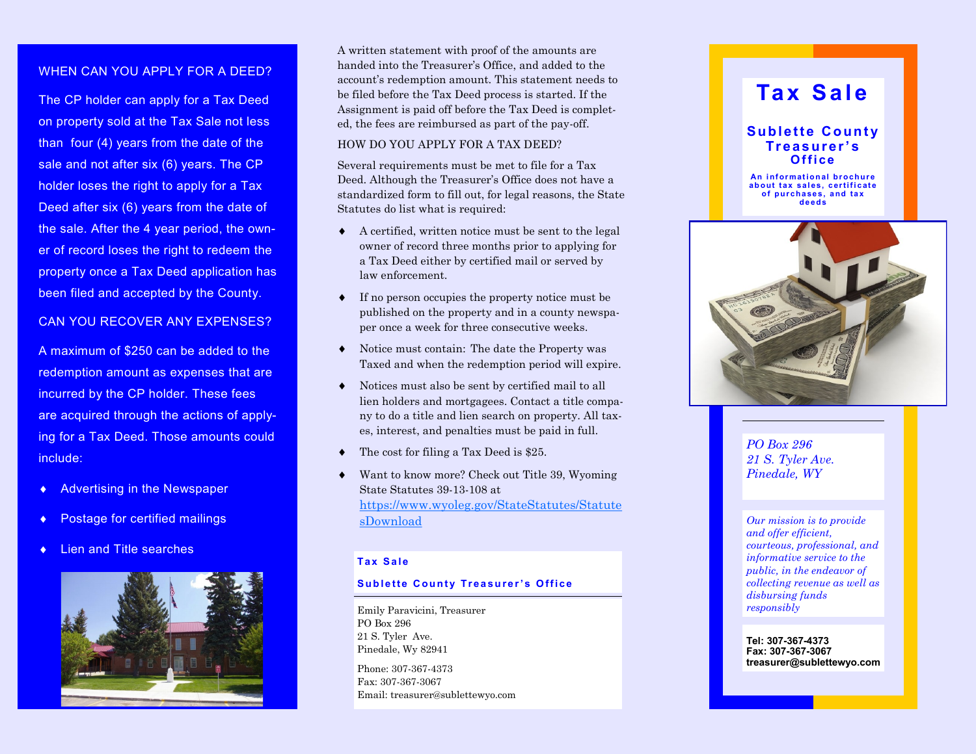### WHEN CAN YOU APPLY FOR A DEED?

The CP holder can apply for a Tax Deed on property sold at the Tax Sale not less than four (4) years from the date of the sale and not after six (6) years. The CP holder loses the right to apply for a Tax Deed after six (6) years from the date of the sale. After the 4 year period, the owner of record loses the right to redeem the property once a Tax Deed application has been filed and accepted by the County.

### CAN YOU RECOVER ANY EXPENSES?

A maximum of \$250 can be added to the redemption amount as expenses that are incurred by the CP holder. These fees are acquired through the actions of applying for a Tax Deed. Those amounts could include:

- Advertising in the Newspaper
- Postage for certified mailings
- Lien and Title searches



A written statement with proof of the amounts are handed into the Treasurer's Office, and added to the account's redemption amount. This statement needs to be filed before the Tax Deed process is started. If the Assignment is paid off before the Tax Deed is completed, the fees are reimbursed as part of the pay-off.

### HOW DO YOU APPLY FOR A TAX DEED?

Several requirements must be met to file for a Tax Deed. Although the Treasurer's Office does not have a standardized form to fill out, for legal reasons, the State Statutes do list what is required:

- A certified, written notice must be sent to the legal owner of record three months prior to applying for a Tax Deed either by certified mail or served by law enforcement.
- If no person occupies the property notice must be published on the property and in a county newspaper once a week for three consecutive weeks.
- Notice must contain: The date the Property was Taxed and when the redemption period will expire.
- Notices must also be sent by certified mail to all lien holders and mortgagees. Contact a title company to do a title and lien search on property. All taxes, interest, and penalties must be paid in full.
- The cost for filing a Tax Deed is \$25.
- Want to know more? Check out Title 39, Wyoming State Statutes 39 -13 -108 at [https://www.wyoleg.gov/StateStatutes/Statute](https://www.wyoleg.gov/StateStatutes/StatutesDownload) [sDownload](https://www.wyoleg.gov/StateStatutes/StatutesDownload)

### **Ta x S a l e**

#### **Sublette County Treasurer's Office**

Emily Paravicini, Treasurer PO Box 296 21 S. Tyler Ave. Pinedale, Wy 82941

Phone: 307 -367 -4373 Fax: 307-367-3067 Email: treasurer@sublettewyo.com

## **Tax Sale**

### **Sublette County Tr e a s ur e r ' s O f f i c e**

**An informational brochure a b o ut ta x s al es , c ertifi c at e**  of purchases, and tax **d e e ds**



*PO Box 296 21 S. Tyler Ave. Pinedale, WY*

*Our mission is to provide and offer efficient, courteous, professional, and informative service to the public, in the endeavor of collecting revenue as well as disbursing funds responsibly* 

**Tel: 307 -367 -4373 Fax: 307 -367 -3067 treasurer@sublettewyo.com**